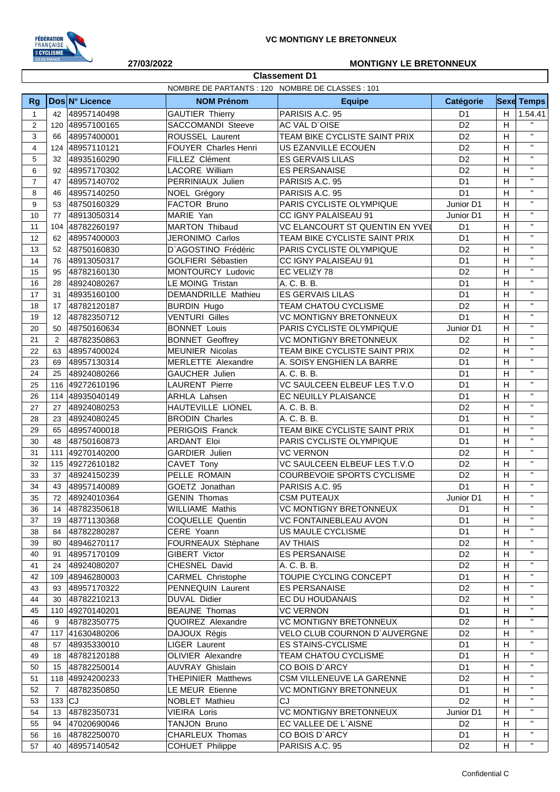

**Classement D1**

## **27/03/2022 MONTIGNY LE BRETONNEUX**

|                         |          |                 | NOMBRE DE PARTANTS : 120 NOMBRE DE CLASSES : 101 |                                     |                |                |                   |
|-------------------------|----------|-----------------|--------------------------------------------------|-------------------------------------|----------------|----------------|-------------------|
| Rg                      |          | Dos N° Licence  | <b>NOM Prénom</b>                                | <b>Equipe</b>                       | Catégorie      |                | <b>Sexe Temps</b> |
| $\mathbf{1}$            | 42       | 48957140498     | <b>GAUTIER Thierry</b>                           | PARISIS A.C. 95                     | D <sub>1</sub> | H              | 1.54.41           |
| $\overline{2}$          | 120      | 48957100165     | SACCOMANDI Steeve                                | AC VAL D'OISE                       | D <sub>2</sub> | H              | $\mathbf{H}$      |
| 3                       | 66       | 48957400001     | ROUSSEL Laurent                                  | TEAM BIKE CYCLISTE SAINT PRIX       | D <sub>2</sub> | H              | $\mathbf{H}$      |
| $\overline{\mathbf{4}}$ | 124      | 48957110121     | FOUYER Charles Henri                             | US EZANVILLE ECOUEN                 | D <sub>2</sub> | H              | $\mathbf{H}$      |
| 5                       | 32       | 48935160290     | FILLEZ Clément                                   | <b>ES GERVAIS LILAS</b>             | D <sub>2</sub> | H              | $\mathbf{H}$      |
| 6                       | 92       | 48957170302     | LACORE William                                   | <b>ES PERSANAISE</b>                | D <sub>2</sub> | H              | $\mathbf{H}$      |
| $\overline{7}$          | 47       | 48957140702     | PERRINIAUX Julien                                | PARISIS A.C. 95                     | D <sub>1</sub> | H              | $\mathbf{H}$      |
| 8                       | 46       | 48957140250     | NOEL Grégory                                     | PARISIS A.C. 95                     | D <sub>1</sub> | H              | $\mathbf{H}$      |
| 9                       | 53       | 48750160329     | FACTOR Bruno                                     | PARIS CYCLISTE OLYMPIQUE            | Junior D1      | H              | $\mathbf{H}$      |
| 10                      | 77       | 48913050314     | MARIE Yan                                        | CC IGNY PALAISEAU 91                | Junior D1      | H              | $\mathbf{H}$      |
| 11                      | 104      | 48782260197     | <b>MARTON Thibaud</b>                            | VC ELANCOURT ST QUENTIN EN YVEI     | D <sub>1</sub> | H              | $\mathbf{H}$      |
| 12                      | 62       | 48957400003     | JERONIMO Carlos                                  | TEAM BIKE CYCLISTE SAINT PRIX       | D <sub>1</sub> | H              | $\mathbf{H}$      |
| 13                      | 52       | 48750160830     | D'AGOSTINO Frédéric                              | PARIS CYCLISTE OLYMPIQUE            | D <sub>2</sub> | H              | $\mathbf{H}$      |
| 14                      | 76       | 48913050317     | GOLFIERI Sébastien                               | CC IGNY PALAISEAU 91                | D <sub>1</sub> | H              | $\mathbf{H}$      |
| 15                      | 95       | 48782160130     | MONTOURCY Ludovic                                | EC VELIZY 78                        | D <sub>2</sub> | H              | $\mathbf{H}$      |
| 16                      | 28       | 48924080267     | LE MOING Tristan                                 | A. C. B. B.                         | D <sub>1</sub> | H              | $\mathbf{H}$      |
| 17                      | 31       | 48935160100     | DEMANDRILLE Mathieu                              | <b>ES GERVAIS LILAS</b>             | D <sub>1</sub> | H              | $\mathbf{H}$      |
| 18                      | 17       | 48782120187     | <b>BURDIN Hugo</b>                               | TEAM CHATOU CYCLISME                | D <sub>2</sub> | H              | $\mathbf{H}$      |
| 19                      | 12       | 48782350712     | <b>VENTURI Gilles</b>                            | <b>VC MONTIGNY BRETONNEUX</b>       | D <sub>1</sub> | H              | $\mathbf{H}$      |
| 20                      | 50       | 48750160634     | <b>BONNET Louis</b>                              | PARIS CYCLISTE OLYMPIQUE            | Junior D1      | H              | $\mathbf{H}$      |
| 21                      | 2        | 48782350863     | <b>BONNET Geoffrey</b>                           | <b>VC MONTIGNY BRETONNEUX</b>       | D <sub>2</sub> | H              | $\mathbf{H}$      |
| 22                      | 63       | 48957400024     | <b>MEUNIER Nicolas</b>                           | TEAM BIKE CYCLISTE SAINT PRIX       | D <sub>2</sub> | H              | $\mathbf{H}$      |
| 23                      | 69       | 48957130314     | MERLETTE Alexandre                               | A. SOISY ENGHIEN LA BARRE           | D <sub>1</sub> | H              | $\mathbf{H}$      |
| 24                      | 25       | 48924080266     | GAUCHER Julien                                   | A. C. B. B.                         | D <sub>1</sub> | H              | $\mathbf{H}$      |
| 25                      |          | 116 49272610196 | <b>LAURENT Pierre</b>                            | VC SAULCEEN ELBEUF LES T.V.O        | D <sub>1</sub> | H              | $\mathbf{H}$      |
| 26                      | 114      | 48935040149     | ARHLA Lahsen                                     | EC NEUILLY PLAISANCE                | D <sub>1</sub> | H              | $\mathbf{H}$      |
| 27                      | 27       | 48924080253     | HAUTEVILLE LIONEL                                | A. C. B. B.                         | D <sub>2</sub> | H              | $\mathbf{H}$      |
| 28                      | 23       | 48924080245     | <b>BRODIN Charles</b>                            | A. C. B. B.                         | D <sub>1</sub> | H              | $\mathbf{H}$      |
| 29                      | 65       | 48957400018     | PERIGOIS Franck                                  | TEAM BIKE CYCLISTE SAINT PRIX       | D <sub>1</sub> | H              | $\mathbf{H}$      |
| 30                      | 48       | 48750160873     | <b>ARDANT Eloi</b>                               | PARIS CYCLISTE OLYMPIQUE            | D <sub>1</sub> | H              | $\mathbf{H}$      |
| 31                      | 111      | 49270140200     | <b>GARDIER Julien</b>                            | <b>VC VERNON</b>                    | D <sub>2</sub> | H              | $\mathbf{H}$      |
| 32                      |          | 115 49272610182 | CAVET Tony                                       | VC SAULCEEN ELBEUF LES T.V.O        | D <sub>2</sub> | H              | $\mathbf{H}$      |
| 33                      | 37       | 48924150239     | PELLE ROMAIN                                     | COURBEVOIE SPORTS CYCLISME          | D <sub>2</sub> | H              | $\mathbf{H}$      |
| 34                      | 43       | 48957140089     | GOETZ Jonathan                                   | PARISIS A.C. 95                     | D <sub>1</sub> | H              | $\mathbf{H}$      |
| 35                      | 72       | 48924010364     | <b>GENIN Thomas</b>                              | <b>CSM PUTEAUX</b>                  | Junior D1      | H              | $\mathbf{H}$      |
| 36                      | 14       | 48782350618     | <b>WILLIAME Mathis</b>                           | <b>VC MONTIGNY BRETONNEUX</b>       | D <sub>1</sub> | $\overline{H}$ |                   |
| 37                      | 19       | 48771130368     | COQUELLE Quentin                                 | VC FONTAINEBLEAU AVON               | D1             | H              | $\mathbf{H}$      |
| 38                      | 84       | 48782280287     | CERE Yoann                                       | US MAULE CYCLISME                   | D <sub>1</sub> | H              | $\mathbf H$       |
| 39                      | 80       | 48946270117     | FOURNEAUX Stéphane                               | <b>AV THIAIS</b>                    | D <sub>2</sub> | H              | $\mathbf H$       |
| 40                      | 91       | 48957170109     | GIBERT Victor                                    | <b>ES PERSANAISE</b>                | D <sub>2</sub> | H              | $\mathbf{H}$      |
| 41                      | 24       | 48924080207     | CHESNEL David                                    | A. C. B. B.                         | D <sub>2</sub> | H              | $\mathbf{H}$      |
| 42                      |          | 109 48946280003 | <b>CARMEL Christophe</b>                         | TOUPIE CYCLING CONCEPT              | D <sub>1</sub> | H              | $\mathbf{H}$      |
| 43                      | 93       | 48957170322     | PENNEQUIN Laurent                                | <b>ES PERSANAISE</b>                | D <sub>2</sub> | H              | $\mathbf{H}$      |
| 44                      | 30       | 48782210213     | DUVAL Didier                                     | EC DU HOUDANAIS                     | D <sub>2</sub> | H              | $\mathbf{H}$      |
| 45                      |          | 110 49270140201 | <b>BEAUNE Thomas</b>                             | <b>VC VERNON</b>                    | D <sub>1</sub> | H              | $\mathbf H$       |
| 46                      | 9        | 48782350775     | QUOIREZ Alexandre                                | <b>VC MONTIGNY BRETONNEUX</b>       | D <sub>2</sub> | H              | $\mathbf{H}$      |
| 47                      |          | 117 41630480206 | DAJOUX Régis                                     | <b>VELO CLUB COURNON D'AUVERGNE</b> | D <sub>2</sub> | H              | $\mathbf{H}$      |
| 48                      | 57       | 48935330010     | LIGER Laurent                                    | <b>ES STAINS-CYCLISME</b>           | D <sub>1</sub> | H              | $\mathbf{H}$      |
| 49                      | 18       | 48782120188     | <b>OLIVIER Alexandre</b>                         | <b>TEAM CHATOU CYCLISME</b>         | D <sub>1</sub> | H              | $\mathbf{H}$      |
| 50                      | 15       | 48782250014     | <b>AUVRAY Ghislain</b>                           | CO BOIS D'ARCY                      | D <sub>1</sub> | H              | $\mathbf{H}$      |
| 51                      |          | 118 48924200233 | <b>THEPINIER Matthews</b>                        | CSM VILLENEUVE LA GARENNE           | D <sub>2</sub> | H              | "                 |
| 52                      | 7        | 48782350850     | LE MEUR Etienne                                  | <b>VC MONTIGNY BRETONNEUX</b>       | D <sub>1</sub> | H              | $\mathbf{H}$      |
| 53                      | $133$ CJ |                 | NOBLET Mathieu                                   | CJ                                  | D <sub>2</sub> | H              | $\mathbf{H}$      |
| 54                      | 13       | 48782350731     | VIEIRA Loris                                     | <b>VC MONTIGNY BRETONNEUX</b>       | Junior D1      | H              | $\mathbf{H}$      |
| 55                      | 94       | 47020690046     | TANJON Bruno                                     | EC VALLEE DE L'AISNE                | D <sub>2</sub> | H              | $\mathbf{H}$      |
| 56                      | 16       | 48782250070     | CHARLEUX Thomas                                  | CO BOIS D'ARCY                      | D <sub>1</sub> | H              | $\mathbf{H}$      |
| 57                      | 40       | 48957140542     | <b>COHUET Philippe</b>                           | PARISIS A.C. 95                     | D <sub>2</sub> | H              | $\mathbf H$       |
|                         |          |                 |                                                  |                                     |                |                |                   |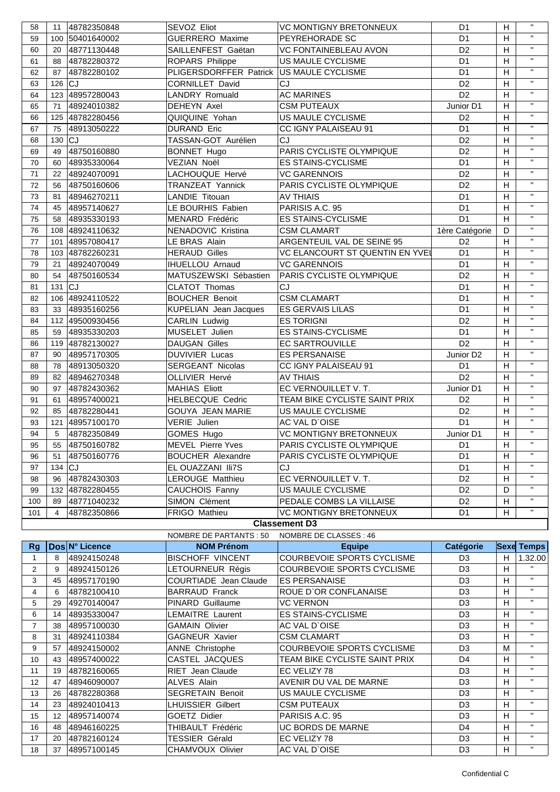| 58  | 11             | 48782350848     | SEVOZ Eliot                              | <b>VC MONTIGNY BRETONNEUX</b>          | D <sub>1</sub>        | H              | $\mathbf{H}$ |  |  |
|-----|----------------|-----------------|------------------------------------------|----------------------------------------|-----------------------|----------------|--------------|--|--|
| 59  | 100            | 50401640002     | <b>GUERRERO</b> Maxime                   | PEYREHORADE SC                         | D <sub>1</sub>        | H              | $\mathbf{H}$ |  |  |
| 60  | 20             | 48771130448     | SAILLENFEST Gaëtan                       | <b>VC FONTAINEBLEAU AVON</b>           | D <sub>2</sub>        | H              | $\mathbf{H}$ |  |  |
| 61  | 88             | 48782280372     | ROPARS Philippe                          | US MAULE CYCLISME                      | D <sub>1</sub>        | H              | $\mathbf{H}$ |  |  |
| 62  | 87             | 48782280102     | PLIGERSDORFFER Patrick US MAULE CYCLISME |                                        | D <sub>1</sub>        | H              | $\mathbf{H}$ |  |  |
| 63  | 126            | lCJ             | <b>CORNILLET David</b>                   | CJ                                     | D <sub>2</sub>        | H              | $\mathbf{H}$ |  |  |
| 64  |                | 123 48957280043 | <b>LANDRY Romuald</b>                    | <b>AC MARINES</b>                      | D <sub>2</sub>        | H              | $\mathbf{H}$ |  |  |
| 65  | 71             | 48924010382     | <b>DEHEYN Axel</b>                       | <b>CSM PUTEAUX</b>                     | Junior D1             | H              | $\mathbf{H}$ |  |  |
| 66  |                | 125 48782280456 | QUIQUINE Yohan                           | US MAULE CYCLISME                      | D <sub>2</sub>        | H              | $\mathbf{H}$ |  |  |
| 67  | 75             | 48913050222     | <b>DURAND Eric</b>                       | CC IGNY PALAISEAU 91                   | D <sub>1</sub>        | H              | $\mathbf{H}$ |  |  |
| 68  | 130            | lcJ.            | TASSAN-GOT Aurélien                      | CJ                                     | D <sub>2</sub>        | H              | $\mathbf{H}$ |  |  |
| 69  | 49             | 48750160880     | <b>BONNET Hugo</b>                       | PARIS CYCLISTE OLYMPIQUE               | D <sub>2</sub>        | H              | $\mathbf{H}$ |  |  |
| 70  | 60             | 48935330064     | VEZIAN Noël                              | <b>ES STAINS-CYCLISME</b>              | D <sub>1</sub>        | H              | $\mathbf{H}$ |  |  |
| 71  | 22             | 48924070091     | LACHOUQUE Hervé                          | <b>VC GARENNOIS</b>                    | D <sub>2</sub>        | H              | $\mathbf{H}$ |  |  |
| 72  | 56             | 48750160606     | TRANZEAT Yannick                         | PARIS CYCLISTE OLYMPIQUE               | D <sub>2</sub>        | H              | $\mathbf{H}$ |  |  |
| 73  | 81             | 48946270211     | LANDIE Titouan                           | <b>AV THIAIS</b>                       | D <sub>1</sub>        | H              | $\mathbf{H}$ |  |  |
| 74  | 45             | 48957140627     | LE BOURHIS Fabien                        | PARISIS A.C. 95                        | D <sub>1</sub>        | H              | $\mathbf{H}$ |  |  |
| 75  | 58             | 48935330193     | MENARD Frédéric                          | <b>ES STAINS-CYCLISME</b>              | D <sub>1</sub>        | H              | $\mathbf{H}$ |  |  |
| 76  |                | 108 48924110632 | NENADOVIC Kristina                       | <b>CSM CLAMART</b>                     | 1ère Catégorie        | D              | $\mathbf{H}$ |  |  |
| 77  |                | 101 48957080417 | LE BRAS Alain                            | ARGENTEUIL VAL DE SEINE 95             | D <sub>2</sub>        | H              | $\mathbf{H}$ |  |  |
| 78  |                | 103 48782260231 | <b>HERAUD Gilles</b>                     | <b>VC ELANCOURT ST QUENTIN EN YVEL</b> | D <sub>1</sub>        | H              | $\mathbf{H}$ |  |  |
| 79  | 21             | 48924070049     | <b>IHUELLOU Arnaud</b>                   | <b>VC GARENNOIS</b>                    | D <sub>1</sub>        | H              | $\mathbf{H}$ |  |  |
| 80  | 54             | 48750160534     | MATUSZEWSKI Sébastien                    | PARIS CYCLISTE OLYMPIQUE               | D <sub>2</sub>        | H              | $\mathbf{H}$ |  |  |
| 81  | 131            | lcJ             | <b>CLATOT Thomas</b>                     | CJ                                     | D <sub>1</sub>        | H              | $\mathbf{H}$ |  |  |
| 82  |                | 106 48924110522 | <b>BOUCHER Benoit</b>                    | <b>CSM CLAMART</b>                     | D <sub>1</sub>        | H              | $\mathbf{H}$ |  |  |
| 83  | 33             | 48935160256     | <b>KUPELIAN</b> Jean Jacques             | <b>ES GERVAIS LILAS</b>                | D <sub>1</sub>        | H              | $\mathbf{H}$ |  |  |
| 84  |                | 112 49500930456 | CARLIN Ludwig                            | <b>ES TORIGNI</b>                      | D <sub>2</sub>        | H              | $\mathbf{H}$ |  |  |
| 85  | 59             | 48935330203     | MUSELET Julien                           | <b>ES STAINS-CYCLISME</b>              | D <sub>1</sub>        | H              | $\mathbf{H}$ |  |  |
| 86  |                | 119 48782130027 | <b>DAUGAN Gilles</b>                     | <b>EC SARTROUVILLE</b>                 | D <sub>2</sub>        | H              | $\mathbf{H}$ |  |  |
| 87  | 90             | 48957170305     | <b>DUVIVIER Lucas</b>                    | <b>ES PERSANAISE</b>                   | Junior D <sub>2</sub> | H              | $\mathbf{H}$ |  |  |
| 88  | 78             | 48913050320     | <b>SERGEANT Nicolas</b>                  | CC IGNY PALAISEAU 91                   | D <sub>1</sub>        | H              | $\mathbf{H}$ |  |  |
| 89  | 82             | 48946270348     | OLLIVIER Hervé                           | <b>AV THIAIS</b>                       | D <sub>2</sub>        | H              | $\mathbf{H}$ |  |  |
| 90  | 97             | 48782430362     | <b>MAHIAS Eliott</b>                     | EC VERNOUILLET V.T.                    | Junior D1             | H              | $\mathbf{H}$ |  |  |
| 91  | 61             | 48957400021     | <b>HELBECQUE Cedric</b>                  | TEAM BIKE CYCLISTE SAINT PRIX          | D <sub>2</sub>        | H              | $\mathbf{H}$ |  |  |
| 92  | 85             | 48782280441     | GOUYA JEAN MARIE                         | US MAULE CYCLISME                      | D <sub>2</sub>        | H              | $\mathbf{H}$ |  |  |
| 93  |                | 121 48957100170 | VERIE Julien                             | AC VAL D'OISE                          | D <sub>1</sub>        | H              | $\mathbf{H}$ |  |  |
| 94  | 5              | 48782350849     | GOMES Hugo                               | <b>VC MONTIGNY BRETONNEUX</b>          | Junior D1             | H              | $\mathbf{H}$ |  |  |
| 95  |                | 55 48750160782  | MEVEL Pierre Yves                        | PARIS CYCLISTE OLYMPIQUE               | D <sub>1</sub>        | $\overline{H}$ | $\mathbf{H}$ |  |  |
| 96  |                | 51 48750160776  | <b>BOUCHER Alexandre</b>                 | PARIS CYCLISTE OLYMPIQUE               | D1                    | H              | $\mathbf{H}$ |  |  |
| 97  | $134$ CJ       |                 | EL OUAZZANI IIi7S                        | <b>CJ</b>                              | D <sub>1</sub>        | Н              | $\mathbf{H}$ |  |  |
| 98  |                | 96 48782430303  | LEROUGE Matthieu                         | EC VERNOUILLET V.T.                    | D <sub>2</sub>        | Н              | $\mathbf H$  |  |  |
| 99  |                | 132 48782280455 | CAUCHOIS Fanny                           | US MAULE CYCLISME                      | D <sub>2</sub>        | D              | $\mathbf{H}$ |  |  |
| 100 |                | 89 48771040232  | SIMON Clément                            | PEDALE COMBS LA VILLAISE               | D <sub>2</sub>        | Н              | $\mathbf{H}$ |  |  |
| 101 | $\overline{4}$ | 48782350866     | FRIGO Mathieu                            | <b>VC MONTIGNY BRETONNEUX</b>          | D <sub>1</sub>        | H              | $\mathbf{H}$ |  |  |
|     | Classement D3  |                 |                                          |                                        |                       |                |              |  |  |

## **Classement D3**

|    |                 |                | NOMBRE DE PARTANTS : 50      | NOMBRE DE CLASSES : 46            |                |    |                   |
|----|-----------------|----------------|------------------------------|-----------------------------------|----------------|----|-------------------|
| Rg |                 | Dos N° Licence | <b>NOM Prénom</b>            | <b>Equipe</b>                     | Catégorie      |    | <b>Sexe Temps</b> |
|    | 8               | 48924150248    | <b>BISCHOFF VINCENT</b>      | <b>COURBEVOIE SPORTS CYCLISME</b> | D <sub>3</sub> | H. | 1.32.00           |
| 2  | 9               | 48924150126    | LETOURNEUR Régis             | COURBEVOIE SPORTS CYCLISME        | D <sub>3</sub> | H  | $\mathbf{H}$      |
| 3  | 45              | 48957170190    | <b>COURTIADE</b> Jean Claude | <b>ES PERSANAISE</b>              | D <sub>3</sub> | H. | $\mathbf{H}$      |
| 4  | 6               | 48782100410    | <b>BARRAUD Franck</b>        | ROUE D'OR CONFLANAISE             | D <sub>3</sub> | H. | $\mathbf{H}$      |
| 5  | 29              | 49270140047    | PINARD Guillaume             | VC VERNON                         | D <sub>3</sub> | H  | $\mathbf{H}$      |
| 6  | 14              | 48935330047    | <b>LEMAITRE Laurent</b>      | <b>ES STAINS-CYCLISME</b>         | D <sub>3</sub> | H  | $\mathbf{H}$      |
|    | 38              | 48957100030    | <b>GAMAIN Olivier</b>        | AC VAL D'OISE                     | D <sub>3</sub> | H. | $\mathbf{H}$      |
| 8  | 31              | 48924110384    | GAGNEUR Xavier               | CSM CLAMART                       | D <sub>3</sub> | H  | $\mathbf{H}$      |
| 9  | 57              | 48924150002    | <b>ANNE Christophe</b>       | COURBEVOIE SPORTS CYCLISME        | D <sub>3</sub> | м  | $\mathbf{H}$      |
| 10 | 43              | 48957400022    | CASTEL JACQUES               | TEAM BIKE CYCLISTE SAINT PRIX     | D4             | H  | $\mathbf{H}$      |
| 11 | 19              | 48782160065    | <b>RIET Jean Claude</b>      | EC VELIZY 78                      | D <sub>3</sub> | H  | $\mathbf{H}$      |
| 12 | 47              | 48946090007    | <b>ALVES Alain</b>           | AVENIR DU VAL DE MARNE            | D <sub>3</sub> | H. | $\mathbf{H}$      |
| 13 | 26              | 48782280368    | <b>SEGRETAIN Benoit</b>      | US MAULE CYCLISME                 | D <sub>3</sub> | H. | $\mathbf{H}$      |
| 14 | 23              | 48924010413    | <b>LHUISSIER Gilbert</b>     | <b>CSM PUTEAUX</b>                | D <sub>3</sub> | H. | $\mathbf{H}$      |
| 15 | 12 <sup>2</sup> | 48957140074    | <b>GOETZ Didier</b>          | PARISIS A.C. 95                   | D <sub>3</sub> | H  | $\mathbf{H}$      |
| 16 | 48              | 48946160225    | THIBAULT Frédéric            | UC BORDS DE MARNE                 | D4             | H  | $\mathbf{H}$      |
| 17 | 20              | 48782160124    | TESSIER Gérald               | EC VELIZY 78                      | D <sub>3</sub> | H  | $\mathbf{H}$      |
| 18 | 37              | 48957100145    | CHAMVOUX Olivier             | AC VAL D`OISE                     | D <sub>3</sub> | H. | $\mathbf{H}$      |